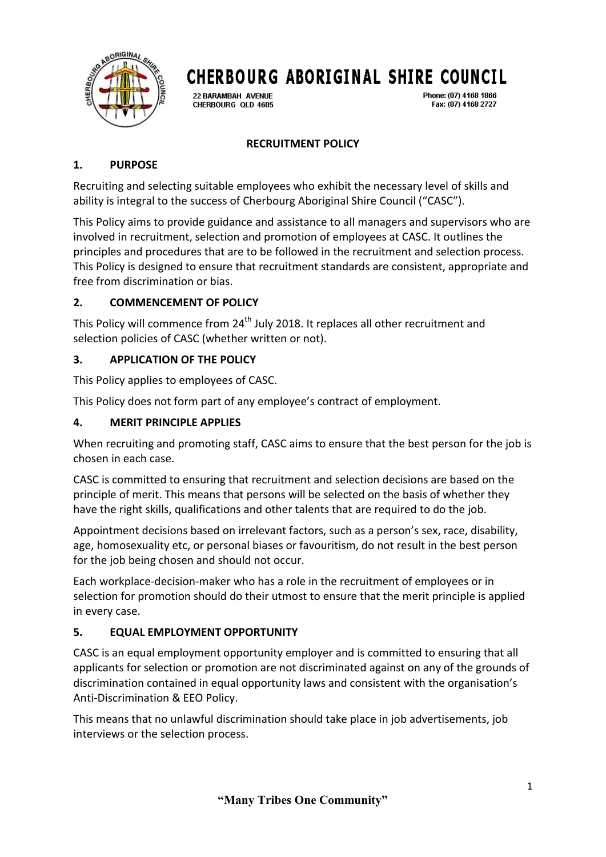

22 BARAMBAH AVENUE CHERBOURG QLD 4605 Phone: (07) 4168 1866 Fax: (07) 4168 2727

## **RECRUITMENT POLICY**

## **1. PURPOSE**

Recruiting and selecting suitable employees who exhibit the necessary level of skills and ability is integral to the success of Cherbourg Aboriginal Shire Council ("CASC").

This Policy aims to provide guidance and assistance to all managers and supervisors who are involved in recruitment, selection and promotion of employees at CASC. It outlines the principles and procedures that are to be followed in the recruitment and selection process. This Policy is designed to ensure that recruitment standards are consistent, appropriate and free from discrimination or bias.

## **2. COMMENCEMENT OF POLICY**

This Policy will commence from  $24<sup>th</sup>$  July 2018. It replaces all other recruitment and selection policies of CASC (whether written or not).

## **3. APPLICATION OF THE POLICY**

This Policy applies to employees of CASC.

This Policy does not form part of any employee's contract of employment.

## **4. MERIT PRINCIPLE APPLIES**

When recruiting and promoting staff, CASC aims to ensure that the best person for the job is chosen in each case.

CASC is committed to ensuring that recruitment and selection decisions are based on the principle of merit. This means that persons will be selected on the basis of whether they have the right skills, qualifications and other talents that are required to do the job.

Appointment decisions based on irrelevant factors, such as a person's sex, race, disability, age, homosexuality etc, or personal biases or favouritism, do not result in the best person for the job being chosen and should not occur.

Each workplace-decision-maker who has a role in the recruitment of employees or in selection for promotion should do their utmost to ensure that the merit principle is applied in every case.

#### **5. EQUAL EMPLOYMENT OPPORTUNITY**

CASC is an equal employment opportunity employer and is committed to ensuring that all applicants for selection or promotion are not discriminated against on any of the grounds of discrimination contained in equal opportunity laws and consistent with the organisation's Anti-Discrimination & EEO Policy.

This means that no unlawful discrimination should take place in job advertisements, job interviews or the selection process.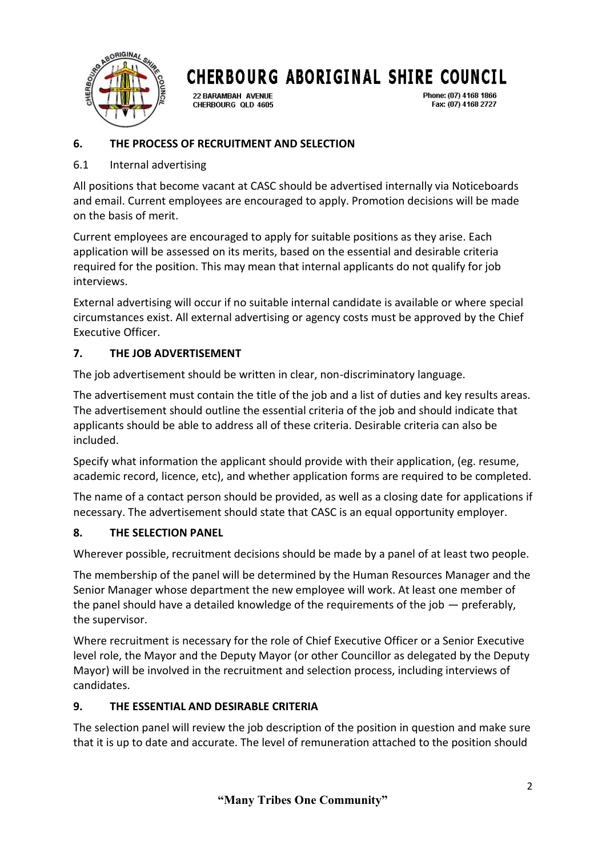

22 RARAMRAH AVENHE CHERBOURG QLD 4605 Phone: (07) 4168 1866 Fax: (07) 4168 2727

## **6. THE PROCESS OF RECRUITMENT AND SELECTION**

## 6.1 Internal advertising

All positions that become vacant at CASC should be advertised internally via Noticeboards and email. Current employees are encouraged to apply. Promotion decisions will be made on the basis of merit.

Current employees are encouraged to apply for suitable positions as they arise. Each application will be assessed on its merits, based on the essential and desirable criteria required for the position. This may mean that internal applicants do not qualify for job interviews.

External advertising will occur if no suitable internal candidate is available or where special circumstances exist. All external advertising or agency costs must be approved by the Chief Executive Officer.

# **7. THE JOB ADVERTISEMENT**

The job advertisement should be written in clear, non-discriminatory language.

The advertisement must contain the title of the job and a list of duties and key results areas. The advertisement should outline the essential criteria of the job and should indicate that applicants should be able to address all of these criteria. Desirable criteria can also be included.

Specify what information the applicant should provide with their application, (eg. resume, academic record, licence, etc), and whether application forms are required to be completed.

The name of a contact person should be provided, as well as a closing date for applications if necessary. The advertisement should state that CASC is an equal opportunity employer.

#### **8. THE SELECTION PANEL**

Wherever possible, recruitment decisions should be made by a panel of at least two people.

The membership of the panel will be determined by the Human Resources Manager and the Senior Manager whose department the new employee will work. At least one member of the panel should have a detailed knowledge of the requirements of the job — preferably, the supervisor.

Where recruitment is necessary for the role of Chief Executive Officer or a Senior Executive level role, the Mayor and the Deputy Mayor (or other Councillor as delegated by the Deputy Mayor) will be involved in the recruitment and selection process, including interviews of candidates.

#### **9. THE ESSENTIAL AND DESIRABLE CRITERIA**

The selection panel will review the job description of the position in question and make sure that it is up to date and accurate. The level of remuneration attached to the position should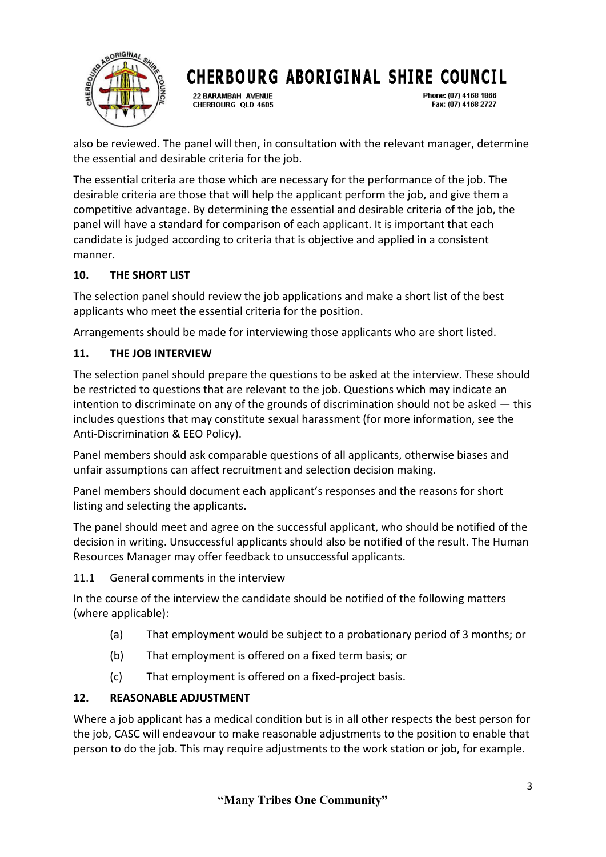

22 BARAMBAH AVENUE CHERBOURG OLD 4605 Phone: (07) 4168 1866 Fax: (07) 4168 2727

also be reviewed. The panel will then, in consultation with the relevant manager, determine the essential and desirable criteria for the job.

The essential criteria are those which are necessary for the performance of the job. The desirable criteria are those that will help the applicant perform the job, and give them a competitive advantage. By determining the essential and desirable criteria of the job, the panel will have a standard for comparison of each applicant. It is important that each candidate is judged according to criteria that is objective and applied in a consistent manner.

## **10. THE SHORT LIST**

The selection panel should review the job applications and make a short list of the best applicants who meet the essential criteria for the position.

Arrangements should be made for interviewing those applicants who are short listed.

# **11. THE JOB INTERVIEW**

The selection panel should prepare the questions to be asked at the interview. These should be restricted to questions that are relevant to the job. Questions which may indicate an intention to discriminate on any of the grounds of discrimination should not be asked — this includes questions that may constitute sexual harassment (for more information, see the Anti-Discrimination & EEO Policy).

Panel members should ask comparable questions of all applicants, otherwise biases and unfair assumptions can affect recruitment and selection decision making.

Panel members should document each applicant's responses and the reasons for short listing and selecting the applicants.

The panel should meet and agree on the successful applicant, who should be notified of the decision in writing. Unsuccessful applicants should also be notified of the result. The Human Resources Manager may offer feedback to unsuccessful applicants.

11.1 General comments in the interview

In the course of the interview the candidate should be notified of the following matters (where applicable):

- (a) That employment would be subject to a probationary period of 3 months; or
- (b) That employment is offered on a fixed term basis; or
- (c) That employment is offered on a fixed-project basis.

#### **12. REASONABLE ADJUSTMENT**

Where a job applicant has a medical condition but is in all other respects the best person for the job, CASC will endeavour to make reasonable adjustments to the position to enable that person to do the job. This may require adjustments to the work station or job, for example.